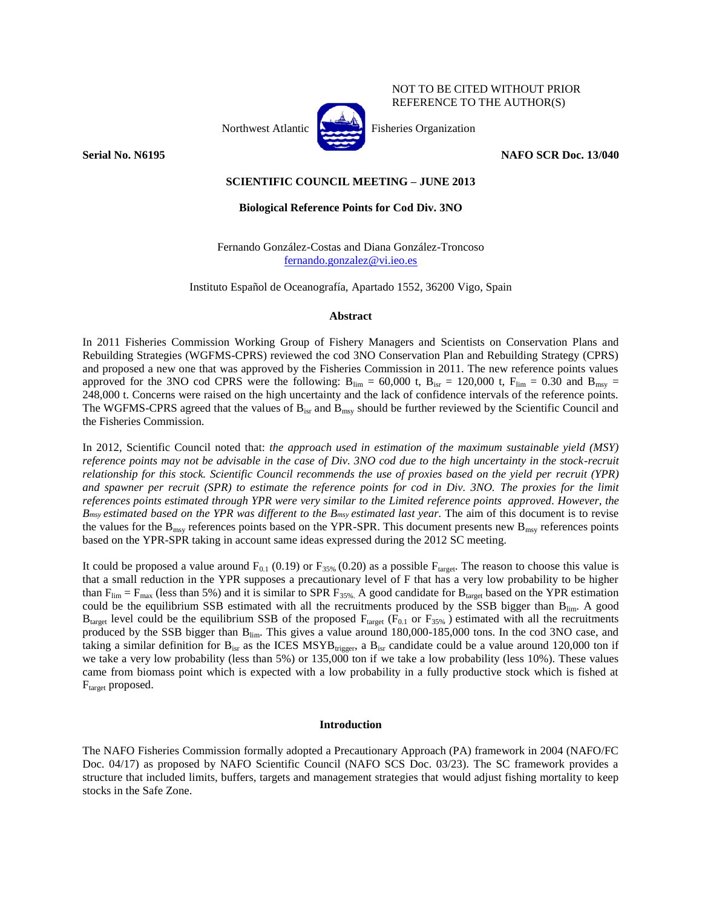

NOT TO BE CITED WITHOUT PRIOR REFERENCE TO THE AUTHOR(S)

**Serial No. N6195 NAFO SCR Doc. 13/040** 

# **SCIENTIFIC COUNCIL MEETING – JUNE 2013**

# **Biological Reference Points for Cod Div. 3NO**

Fernando González-Costas and Diana González-Troncoso [fernando.gonzalez@vi.ieo.es](mailto:fernando.gonzalez@vi.ieo.es)

Instituto Español de Oceanografía, Apartado 1552, 36200 Vigo, Spain

## **Abstract**

In 2011 Fisheries Commission Working Group of Fishery Managers and Scientists on Conservation Plans and Rebuilding Strategies (WGFMS-CPRS) reviewed the cod 3NO Conservation Plan and Rebuilding Strategy (CPRS) and proposed a new one that was approved by the Fisheries Commission in 2011. The new reference points values approved for the 3NO cod CPRS were the following:  $B_{\text{lim}} = 60,000$  t,  $B_{\text{isr}} = 120,000$  t,  $F_{\text{lim}} = 0.30$  and  $B_{\text{max}} =$ 248,000 t. Concerns were raised on the high uncertainty and the lack of confidence intervals of the reference points. The WGFMS-CPRS agreed that the values of  $B_{\text{isr}}$  and  $B_{\text{msy}}$  should be further reviewed by the Scientific Council and the Fisheries Commission.

In 2012, Scientific Council noted that: *the approach used in estimation of the maximum sustainable yield (MSY) reference points may not be advisable in the case of Div. 3NO cod due to the high uncertainty in the stock-recruit relationship for this stock. Scientific Council recommends the use of proxies based on the yield per recruit (YPR) and spawner per recruit (SPR) to estimate the reference points for cod in Div. 3NO. The proxies for the limit references points estimated through YPR were very similar to the Limited reference points approved. However, the Bmsy estimated based on the YPR was different to the Bmsy estimated last year.* The aim of this document is to revise the values for the  $B_{\text{msy}}$  references points based on the YPR-SPR. This document presents new  $B_{\text{msy}}$  references points based on the YPR-SPR taking in account same ideas expressed during the 2012 SC meeting.

It could be proposed a value around  $F_{0.1}$  (0.19) or  $F_{35\%}$  (0.20) as a possible  $F_{\text{target}}$ . The reason to choose this value is that a small reduction in the YPR supposes a precautionary level of F that has a very low probability to be higher than  $F_{\text{lim}} = F_{\text{max}}$  (less than 5%) and it is similar to SPR  $F_{35\%}$ . A good candidate for B<sub>target</sub> based on the YPR estimation could be the equilibrium SSB estimated with all the recruitments produced by the SSB bigger than Blim. A good  $B_{\text{target}}$  level could be the equilibrium SSB of the proposed  $F_{\text{target}}$  ( $F_{0.1}$  or  $F_{35\%}$ ) estimated with all the recruitments produced by the SSB bigger than Blim. This gives a value around 180,000-185,000 tons. In the cod 3NO case, and taking a similar definition for  $B_{\text{isr}}$  as the ICES MSYB<sub>trigger</sub>, a  $B_{\text{isr}}$  candidate could be a value around 120,000 ton if we take a very low probability (less than 5%) or 135,000 ton if we take a low probability (less 10%). These values came from biomass point which is expected with a low probability in a fully productive stock which is fished at F<sub>target</sub> proposed.

## **Introduction**

The NAFO Fisheries Commission formally adopted a Precautionary Approach (PA) framework in 2004 (NAFO/FC Doc. 04/17) as proposed by NAFO Scientific Council (NAFO SCS Doc. 03/23). The SC framework provides a structure that included limits, buffers, targets and management strategies that would adjust fishing mortality to keep stocks in the Safe Zone.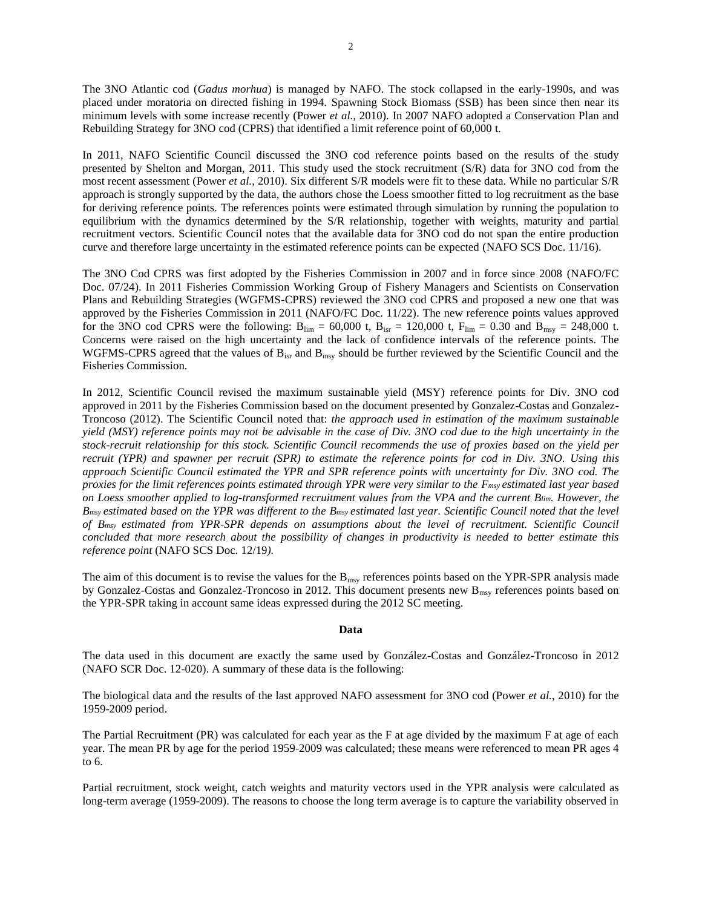The 3NO Atlantic cod (*Gadus morhua*) is managed by NAFO. The stock collapsed in the early-1990s, and was placed under moratoria on directed fishing in 1994. Spawning Stock Biomass (SSB) has been since then near its minimum levels with some increase recently (Power *et al.*, 2010). In 2007 NAFO adopted a Conservation Plan and Rebuilding Strategy for 3NO cod (CPRS) that identified a limit reference point of 60,000 t.

In 2011, NAFO Scientific Council discussed the 3NO cod reference points based on the results of the study presented by Shelton and Morgan, 2011. This study used the stock recruitment (S/R) data for 3NO cod from the most recent assessment (Power *et al.*, 2010). Six different S/R models were fit to these data. While no particular S/R approach is strongly supported by the data, the authors chose the Loess smoother fitted to log recruitment as the base for deriving reference points. The references points were estimated through simulation by running the population to equilibrium with the dynamics determined by the S/R relationship, together with weights, maturity and partial recruitment vectors. Scientific Council notes that the available data for 3NO cod do not span the entire production curve and therefore large uncertainty in the estimated reference points can be expected (NAFO SCS Doc. 11/16).

The 3NO Cod CPRS was first adopted by the Fisheries Commission in 2007 and in force since 2008 (NAFO/FC Doc. 07/24). In 2011 Fisheries Commission Working Group of Fishery Managers and Scientists on Conservation Plans and Rebuilding Strategies (WGFMS-CPRS) reviewed the 3NO cod CPRS and proposed a new one that was approved by the Fisheries Commission in 2011 (NAFO/FC Doc. 11/22). The new reference points values approved for the 3NO cod CPRS were the following:  $B_{\text{lim}} = 60,000$  t,  $B_{\text{isr}} = 120,000$  t,  $F_{\text{lim}} = 0.30$  and  $B_{\text{msy}} = 248,000$  t. Concerns were raised on the high uncertainty and the lack of confidence intervals of the reference points. The WGFMS-CPRS agreed that the values of  $B_{\text{isr}}$  and  $B_{\text{msy}}$  should be further reviewed by the Scientific Council and the Fisheries Commission.

In 2012, Scientific Council revised the maximum sustainable yield (MSY) reference points for Div. 3NO cod approved in 2011 by the Fisheries Commission based on the document presented by Gonzalez-Costas and Gonzalez-Troncoso (2012). The Scientific Council noted that: *the approach used in estimation of the maximum sustainable yield (MSY) reference points may not be advisable in the case of Div. 3NO cod due to the high uncertainty in the stock-recruit relationship for this stock. Scientific Council recommends the use of proxies based on the yield per recruit (YPR) and spawner per recruit (SPR) to estimate the reference points for cod in Div. 3NO. Using this approach Scientific Council estimated the YPR and SPR reference points with uncertainty for Div. 3NO cod. The proxies for the limit references points estimated through YPR were very similar to the Fmsy estimated last year based on Loess smoother applied to log-transformed recruitment values from the VPA and the current Blim. However, the Bmsy estimated based on the YPR was different to the Bmsy estimated last year. Scientific Council noted that the level of Bmsy estimated from YPR-SPR depends on assumptions about the level of recruitment. Scientific Council concluded that more research about the possibility of changes in productivity is needed to better estimate this reference point* (NAFO SCS Doc. 12/19*).* 

The aim of this document is to revise the values for the  $B_{msy}$  references points based on the YPR-SPR analysis made by Gonzalez-Costas and Gonzalez-Troncoso in 2012. This document presents new  $B_{msy}$  references points based on the YPR-SPR taking in account same ideas expressed during the 2012 SC meeting.

## **Data**

The data used in this document are exactly the same used by González-Costas and González-Troncoso in 2012 (NAFO SCR Doc. 12-020). A summary of these data is the following:

The biological data and the results of the last approved NAFO assessment for 3NO cod (Power *et al.*, 2010) for the 1959-2009 period.

The Partial Recruitment (PR) was calculated for each year as the F at age divided by the maximum F at age of each year. The mean PR by age for the period 1959-2009 was calculated; these means were referenced to mean PR ages 4 to 6.

Partial recruitment, stock weight, catch weights and maturity vectors used in the YPR analysis were calculated as long-term average (1959-2009). The reasons to choose the long term average is to capture the variability observed in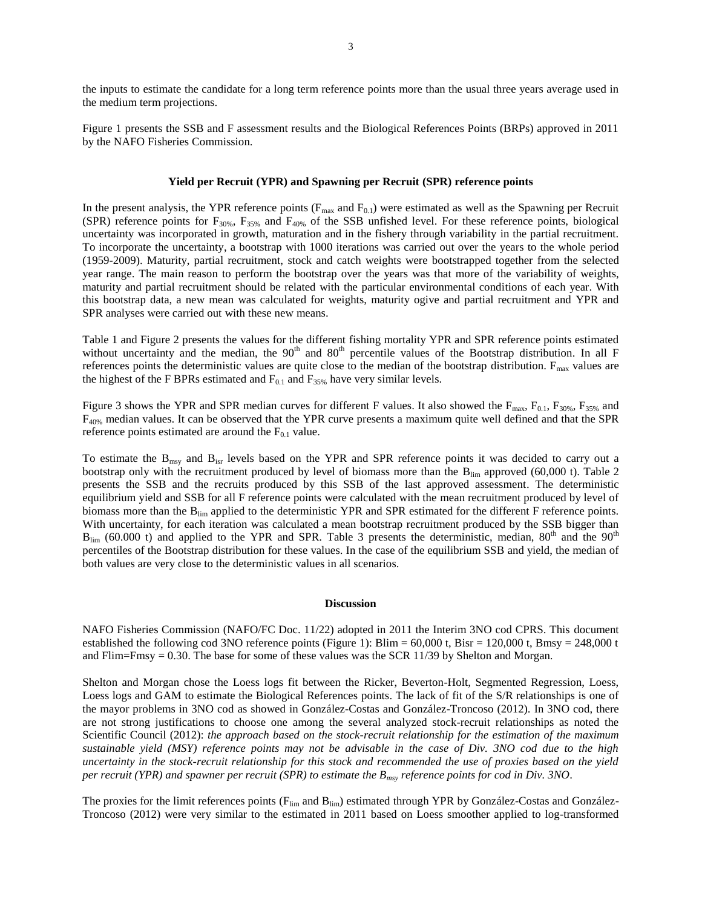the inputs to estimate the candidate for a long term reference points more than the usual three years average used in the medium term projections.

Figure 1 presents the SSB and F assessment results and the Biological References Points (BRPs) approved in 2011 by the NAFO Fisheries Commission.

#### **Yield per Recruit (YPR) and Spawning per Recruit (SPR) reference points**

In the present analysis, the YPR reference points ( $F_{\text{max}}$  and  $F_{0.1}$ ) were estimated as well as the Spawning per Recruit (SPR) reference points for  $F_{30\%}$ ,  $F_{35\%}$  and  $F_{40\%}$  of the SSB unfished level. For these reference points, biological uncertainty was incorporated in growth, maturation and in the fishery through variability in the partial recruitment. To incorporate the uncertainty, a bootstrap with 1000 iterations was carried out over the years to the whole period (1959-2009). Maturity, partial recruitment, stock and catch weights were bootstrapped together from the selected year range. The main reason to perform the bootstrap over the years was that more of the variability of weights, maturity and partial recruitment should be related with the particular environmental conditions of each year. With this bootstrap data, a new mean was calculated for weights, maturity ogive and partial recruitment and YPR and SPR analyses were carried out with these new means.

Table 1 and Figure 2 presents the values for the different fishing mortality YPR and SPR reference points estimated without uncertainty and the median, the  $90<sup>th</sup>$  and  $80<sup>th</sup>$  percentile values of the Bootstrap distribution. In all F references points the deterministic values are quite close to the median of the bootstrap distribution.  $F_{\text{max}}$  values are the highest of the F BPRs estimated and  $F_{0.1}$  and  $F_{35\%}$  have very similar levels.

Figure 3 shows the YPR and SPR median curves for different F values. It also showed the  $F_{\text{max}}$ ,  $F_{0.1}$ ,  $F_{30\%}$ ,  $F_{35\%}$  and F40% median values. It can be observed that the YPR curve presents a maximum quite well defined and that the SPR reference points estimated are around the  $F_{0,1}$  value.

To estimate the  $B_{\text{msy}}$  and  $B_{\text{isr}}$  levels based on the YPR and SPR reference points it was decided to carry out a bootstrap only with the recruitment produced by level of biomass more than the  $B_{lim}$  approved (60,000 t). Table 2 presents the SSB and the recruits produced by this SSB of the last approved assessment. The deterministic equilibrium yield and SSB for all F reference points were calculated with the mean recruitment produced by level of biomass more than the B<sub>lim</sub> applied to the deterministic YPR and SPR estimated for the different F reference points. With uncertainty, for each iteration was calculated a mean bootstrap recruitment produced by the SSB bigger than  $B_{\text{lim}}$  (60.000 t) and applied to the YPR and SPR. Table 3 presents the deterministic, median, 80<sup>th</sup> and the 90<sup>th</sup> percentiles of the Bootstrap distribution for these values. In the case of the equilibrium SSB and yield, the median of both values are very close to the deterministic values in all scenarios.

## **Discussion**

NAFO Fisheries Commission (NAFO/FC Doc. 11/22) adopted in 2011 the Interim 3NO cod CPRS. This document established the following cod 3NO reference points (Figure 1): Blim = 60,000 t, Bisr = 120,000 t, Bmsy = 248,000 t and Flim=Fmsy = 0.30. The base for some of these values was the SCR 11/39 by Shelton and Morgan.

Shelton and Morgan chose the Loess logs fit between the Ricker, Beverton-Holt, Segmented Regression, Loess, Loess logs and GAM to estimate the Biological References points. The lack of fit of the S/R relationships is one of the mayor problems in 3NO cod as showed in González-Costas and González-Troncoso (2012). In 3NO cod, there are not strong justifications to choose one among the several analyzed stock-recruit relationships as noted the Scientific Council (2012): *the approach based on the stock-recruit relationship for the estimation of the maximum sustainable yield (MSY) reference points may not be advisable in the case of Div. 3NO cod due to the high uncertainty in the stock-recruit relationship for this stock and recommended the use of proxies based on the yield per recruit (YPR) and spawner per recruit (SPR) to estimate the Bmsy reference points for cod in Div. 3NO*.

The proxies for the limit references points (F<sub>lim</sub> and B<sub>lim</sub>) estimated through YPR by González-Costas and González-Troncoso (2012) were very similar to the estimated in 2011 based on Loess smoother applied to log-transformed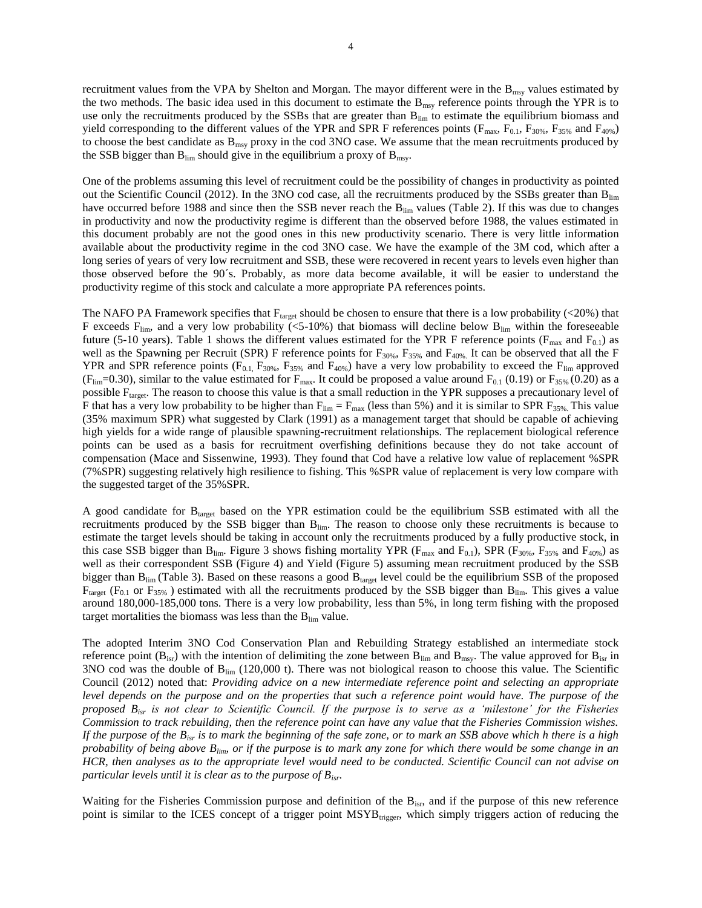recruitment values from the VPA by Shelton and Morgan*.* The mayor different were in the Bmsy values estimated by the two methods. The basic idea used in this document to estimate the  $B_{\text{msy}}$  reference points through the YPR is to use only the recruitments produced by the SSBs that are greater than B<sub>lim</sub> to estimate the equilibrium biomass and yield corresponding to the different values of the YPR and SPR F references points ( $F_{\text{max}}$ ,  $F_{0.1}$ ,  $F_{30\%}$ ,  $F_{35\%}$  and  $F_{40\%}$ ) to choose the best candidate as B<sub>msy</sub> proxy in the cod 3NO case. We assume that the mean recruitments produced by the SSB bigger than  $B_{lim}$  should give in the equilibrium a proxy of  $B_{max}$ .

One of the problems assuming this level of recruitment could be the possibility of changes in productivity as pointed out the Scientific Council (2012). In the 3NO cod case, all the recruitments produced by the SSBs greater than B<sub>lim</sub> have occurred before 1988 and since then the SSB never reach the  $B_{\text{lim}}$  values (Table 2). If this was due to changes in productivity and now the productivity regime is different than the observed before 1988, the values estimated in this document probably are not the good ones in this new productivity scenario. There is very little information available about the productivity regime in the cod 3NO case. We have the example of the 3M cod, which after a long series of years of very low recruitment and SSB, these were recovered in recent years to levels even higher than those observed before the 90´s. Probably, as more data become available, it will be easier to understand the productivity regime of this stock and calculate a more appropriate PA references points.

The NAFO PA Framework specifies that  $F_{target}$  should be chosen to ensure that there is a low probability (<20%) that F exceeds  $F_{\text{lim}}$ , and a very low probability (<5-10%) that biomass will decline below  $B_{\text{lim}}$  within the foreseeable future (5-10 years). Table 1 shows the different values estimated for the YPR F reference points ( $F_{max}$  and  $F_{0,1}$ ) as well as the Spawning per Recruit (SPR) F reference points for  $F_{30\%}$ ,  $F_{35\%}$  and  $F_{40\%}$ . It can be observed that all the F YPR and SPR reference points ( $F_{0.1}$ ,  $F_{30\%}$ ,  $F_{35\%}$  and  $F_{40\%}$ ) have a very low probability to exceed the  $F_{\text{lim}}$  approved (F<sub>lim</sub>=0.30), similar to the value estimated for F<sub>max</sub>. It could be proposed a value around F<sub>0.1</sub> (0.19) or F<sub>35%</sub> (0.20) as a possible F<sub>target</sub>. The reason to choose this value is that a small reduction in the YPR supposes a precautionary level of F that has a very low probability to be higher than  $F_{lim} = F_{max}$  (less than 5%) and it is similar to SPR  $F_{35\%}$ . This value (35% maximum SPR) what suggested by Clark (1991) as a management target that should be capable of achieving high yields for a wide range of plausible spawning-recruitment relationships. The replacement biological reference points can be used as a basis for recruitment overfishing definitions because they do not take account of compensation (Mace and Sissenwine, 1993). They found that Cod have a relative low value of replacement %SPR (7%SPR) suggesting relatively high resilience to fishing. This %SPR value of replacement is very low compare with the suggested target of the 35%SPR.

A good candidate for Btarget based on the YPR estimation could be the equilibrium SSB estimated with all the recruitments produced by the SSB bigger than Blim. The reason to choose only these recruitments is because to estimate the target levels should be taking in account only the recruitments produced by a fully productive stock, in this case SSB bigger than B<sub>lim</sub>. Figure 3 shows fishing mortality YPR ( $F_{\text{max}}$  and  $F_{0.1}$ ), SPR ( $F_{30\%}$ ,  $F_{35\%}$  and  $F_{40\%}$ ) as well as their correspondent SSB (Figure 4) and Yield (Figure 5) assuming mean recruitment produced by the SSB bigger than  $B_{lim}$  (Table 3). Based on these reasons a good  $B_{target}$  level could be the equilibrium SSB of the proposed  $F_{\text{target}}$  ( $F_{0.1}$  or  $F_{35\%}$ ) estimated with all the recruitments produced by the SSB bigger than  $B_{\text{lim}}$ . This gives a value around 180,000-185,000 tons. There is a very low probability, less than 5%, in long term fishing with the proposed target mortalities the biomass was less than the  $B_{\text{lim}}$  value.

The adopted Interim 3NO Cod Conservation Plan and Rebuilding Strategy established an intermediate stock reference point  $(B_{isr})$  with the intention of delimiting the zone between  $B_{lim}$  and  $B_{msy}$ . The value approved for  $B_{isr}$  in 3NO cod was the double of  $B_{lim}$  (120,000 t). There was not biological reason to choose this value. The Scientific Council (2012) noted that: *Providing advice on a new intermediate reference point and selecting an appropriate level depends on the purpose and on the properties that such a reference point would have. The purpose of the proposed Bisr is not clear to Scientific Council. If the purpose is to serve as a 'milestone' for the Fisheries Commission to track rebuilding, then the reference point can have any value that the Fisheries Commission wishes. If the purpose of the Bisr is to mark the beginning of the safe zone, or to mark an SSB above which h there is a high probability of being above Blim, or if the purpose is to mark any zone for which there would be some change in an HCR, then analyses as to the appropriate level would need to be conducted. Scientific Council can not advise on particular levels until it is clear as to the purpose of Bisr*.

Waiting for the Fisheries Commission purpose and definition of the B<sub>isr</sub>, and if the purpose of this new reference point is similar to the ICES concept of a trigger point MSYB<sub>trigger</sub>, which simply triggers action of reducing the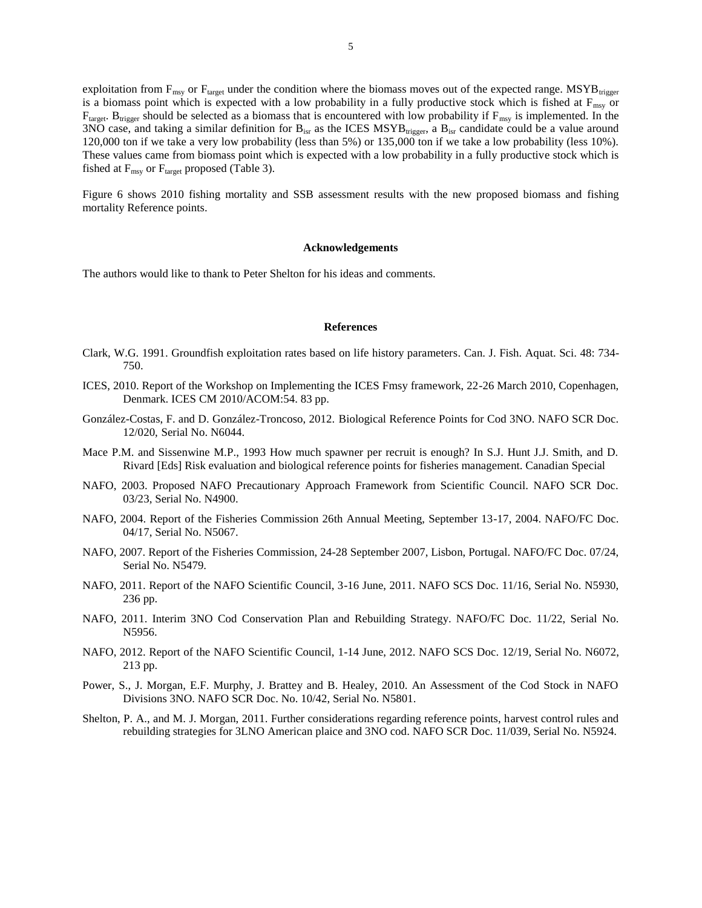exploitation from  $F_{\text{msv}}$  or  $F_{\text{target}}$  under the condition where the biomass moves out of the expected range. MSYB $_{\text{trigger}}$ is a biomass point which is expected with a low probability in a fully productive stock which is fished at  $F_{\text{msy}}$  or  $F_{\text{target}}$ . B<sub>trigger</sub> should be selected as a biomass that is encountered with low probability if  $F_{\text{msy}}$  is implemented. In the  $3NO$  case, and taking a similar definition for  $B_{\text{isr}}$  as the ICES MSYB<sub>trigger</sub>, a  $B_{\text{isr}}$  candidate could be a value around 120,000 ton if we take a very low probability (less than 5%) or 135,000 ton if we take a low probability (less 10%). These values came from biomass point which is expected with a low probability in a fully productive stock which is fished at  $F_{msy}$  or  $F_{\text{target}}$  proposed (Table 3).

Figure 6 shows 2010 fishing mortality and SSB assessment results with the new proposed biomass and fishing mortality Reference points.

#### **Acknowledgements**

The authors would like to thank to Peter Shelton for his ideas and comments.

#### **References**

- Clark, W.G. 1991. Groundfish exploitation rates based on life history parameters. Can. J. Fish. Aquat. Sci. 48: 734- 750.
- ICES, 2010. Report of the Workshop on Implementing the ICES Fmsy framework, 22-26 March 2010, Copenhagen, Denmark. ICES CM 2010/ACOM:54. 83 pp.
- González-Costas, F. and D. González-Troncoso, 2012. Biological Reference Points for Cod 3NO. NAFO SCR Doc. 12/020, Serial No. N6044.
- Mace P.M. and Sissenwine M.P., 1993 How much spawner per recruit is enough? In S.J. Hunt J.J. Smith, and D. Rivard [Eds] Risk evaluation and biological reference points for fisheries management. Canadian Special
- NAFO, 2003. Proposed NAFO Precautionary Approach Framework from Scientific Council. NAFO SCR Doc. 03/23, Serial No. N4900.
- NAFO, 2004. Report of the Fisheries Commission 26th Annual Meeting, September 13-17, 2004. NAFO/FC Doc. 04/17, Serial No. N5067.
- NAFO, 2007. Report of the Fisheries Commission, 24-28 September 2007, Lisbon, Portugal. NAFO/FC Doc. 07/24, Serial No. N5479.
- NAFO, 2011. Report of the NAFO Scientific Council, 3-16 June, 2011. NAFO SCS Doc. 11/16, Serial No. N5930, 236 pp.
- NAFO, 2011. Interim 3NO Cod Conservation Plan and Rebuilding Strategy. NAFO/FC Doc. 11/22, Serial No. N5956.
- NAFO, 2012. Report of the NAFO Scientific Council, 1-14 June, 2012. NAFO SCS Doc. 12/19, Serial No. N6072, 213 pp.
- Power, S., J. Morgan, E.F. Murphy, J. Brattey and B. Healey, 2010. An Assessment of the Cod Stock in NAFO Divisions 3NO. NAFO SCR Doc. No. 10/42, Serial No. N5801.
- Shelton, P. A., and M. J. Morgan, 2011. Further considerations regarding reference points, harvest control rules and rebuilding strategies for 3LNO American plaice and 3NO cod. NAFO SCR Doc. 11/039, Serial No. N5924.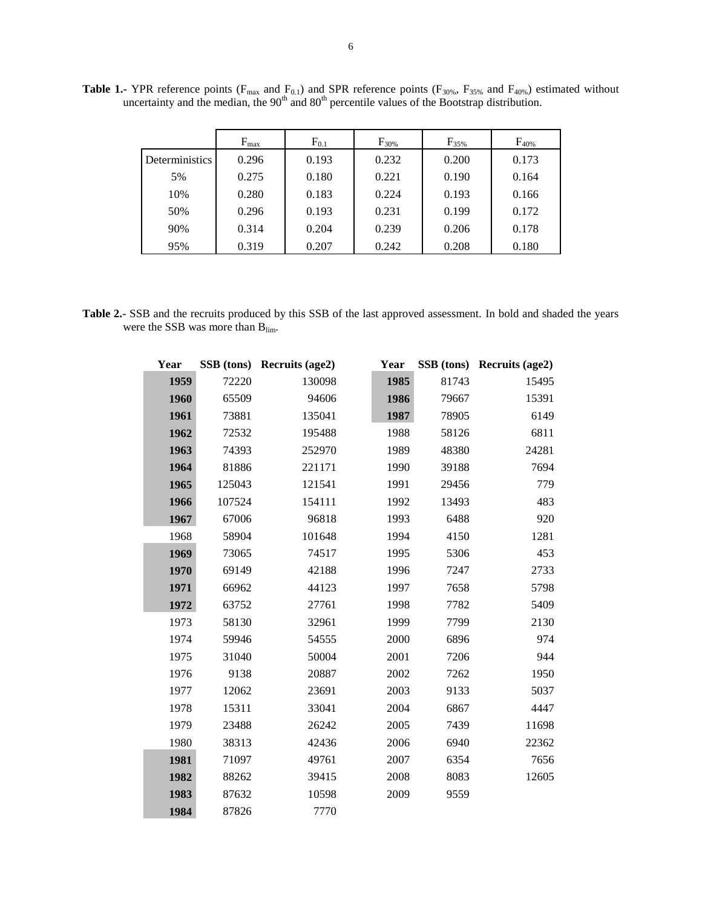|                | $F_{\text{max}}$ | $F_{0.1}$ | $F_{30\%}$ | $F_{35%}$ | $F_{40\%}$ |
|----------------|------------------|-----------|------------|-----------|------------|
| Deterministics | 0.296            | 0.193     | 0.232      | 0.200     | 0.173      |
| 5%             | 0.275            | 0.180     | 0.221      | 0.190     | 0.164      |
| 10%            | 0.280            | 0.183     | 0.224      | 0.193     | 0.166      |
| 50%            | 0.296            | 0.193     | 0.231      | 0.199     | 0.172      |
| 90%            | 0.314            | 0.204     | 0.239      | 0.206     | 0.178      |
| 95%            | 0.319            | 0.207     | 0.242      | 0.208     | 0.180      |

**Table 1.-** YPR reference points ( $F_{max}$  and  $F_{0.1}$ ) and SPR reference points ( $F_{30\%}$ ,  $F_{35\%}$  and  $F_{40\%}$ ) estimated without uncertainty and the median, the  $90<sup>th</sup>$  and  $80<sup>th</sup>$  percentile values of the Bootstrap distribution.

**Table 2.-** SSB and the recruits produced by this SSB of the last approved assessment. In bold and shaded the years were the SSB was more than B<sub>lim</sub>.

| Year |        | SSB (tons) Recruits (age2) | Year |       | SSB (tons) Recruits (age2) |
|------|--------|----------------------------|------|-------|----------------------------|
| 1959 | 72220  | 130098                     | 1985 | 81743 | 15495                      |
| 1960 | 65509  | 94606                      | 1986 | 79667 | 15391                      |
| 1961 | 73881  | 135041                     | 1987 | 78905 | 6149                       |
| 1962 | 72532  | 195488                     | 1988 | 58126 | 6811                       |
| 1963 | 74393  | 252970                     | 1989 | 48380 | 24281                      |
| 1964 | 81886  | 221171                     | 1990 | 39188 | 7694                       |
| 1965 | 125043 | 121541                     | 1991 | 29456 | 779                        |
| 1966 | 107524 | 154111                     | 1992 | 13493 | 483                        |
| 1967 | 67006  | 96818                      | 1993 | 6488  | 920                        |
| 1968 | 58904  | 101648                     | 1994 | 4150  | 1281                       |
| 1969 | 73065  | 74517                      | 1995 | 5306  | 453                        |
| 1970 | 69149  | 42188                      | 1996 | 7247  | 2733                       |
| 1971 | 66962  | 44123                      | 1997 | 7658  | 5798                       |
| 1972 | 63752  | 27761                      | 1998 | 7782  | 5409                       |
| 1973 | 58130  | 32961                      | 1999 | 7799  | 2130                       |
| 1974 | 59946  | 54555                      | 2000 | 6896  | 974                        |
| 1975 | 31040  | 50004                      | 2001 | 7206  | 944                        |
| 1976 | 9138   | 20887                      | 2002 | 7262  | 1950                       |
| 1977 | 12062  | 23691                      | 2003 | 9133  | 5037                       |
| 1978 | 15311  | 33041                      | 2004 | 6867  | 4447                       |
| 1979 | 23488  | 26242                      | 2005 | 7439  | 11698                      |
| 1980 | 38313  | 42436                      | 2006 | 6940  | 22362                      |
| 1981 | 71097  | 49761                      | 2007 | 6354  | 7656                       |
| 1982 | 88262  | 39415                      | 2008 | 8083  | 12605                      |
| 1983 | 87632  | 10598                      | 2009 | 9559  |                            |
| 1984 | 87826  | 7770                       |      |       |                            |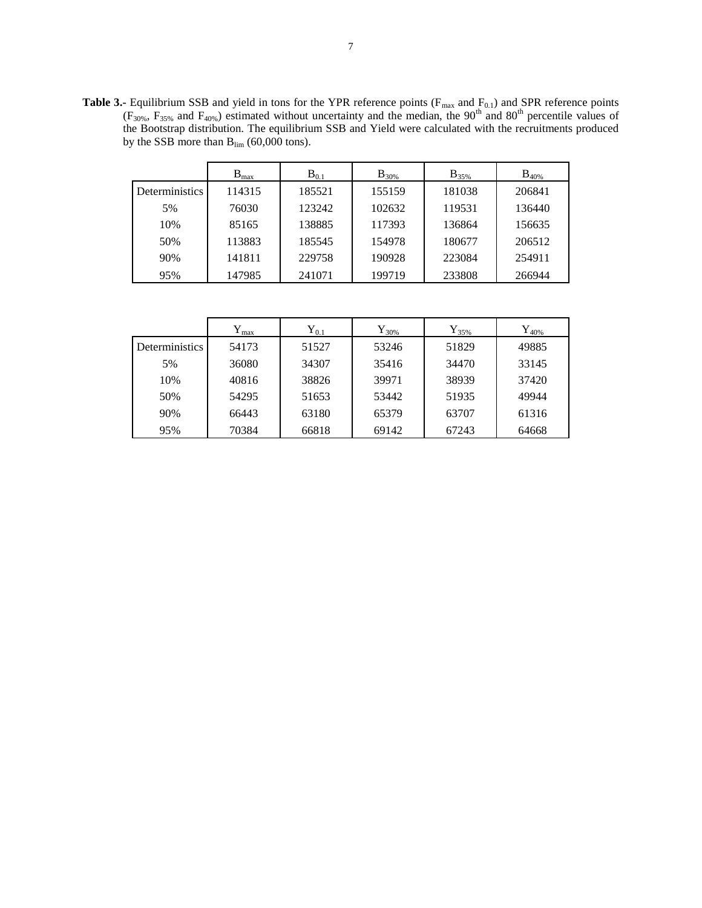**Table 3.-** Equilibrium SSB and yield in tons for the YPR reference points ( $F_{\text{max}}$  and  $F_{0.1}$ ) and SPR reference points  $(F_{30\%}, F_{35\%}$  and  $F_{40\%})$  estimated without uncertainty and the median, the 90<sup>th</sup> and 80<sup>th</sup> percentile values of the Bootstrap distribution. The equilibrium SSB and Yield were calculated with the recruitments produced by the SSB more than  $B_{\text{lim}}$  (60,000 tons).

|                | $B_{max}$ | $B_{0.1}$ | $B_{30\%}$ | $B_{35\%}$ | $\rm{B_{40\%}}$ |
|----------------|-----------|-----------|------------|------------|-----------------|
| Deterministics | 114315    | 185521    | 155159     | 181038     | 206841          |
| 5%             | 76030     | 123242    | 102632     | 119531     | 136440          |
| 10%            | 85165     | 138885    | 117393     | 136864     | 156635          |
| 50%            | 113883    | 185545    | 154978     | 180677     | 206512          |
| 90%            | 141811    | 229758    | 190928     | 223084     | 254911          |
| 95%            | 147985    | 241071    | 199719     | 233808     | 266944          |

|                       | ${\rm Y_{max}}$ | ${\rm Y}_{0.1}$ | ${\rm Y}_{30\%}$ | ${\rm Y}_{35\%}$ | ${\rm Y}_{40\%}$ |
|-----------------------|-----------------|-----------------|------------------|------------------|------------------|
| <b>Deterministics</b> | 54173           | 51527           | 53246            | 51829            | 49885            |
| 5%                    | 36080           | 34307           | 35416            | 34470            | 33145            |
| 10%                   | 40816           | 38826           | 39971            | 38939            | 37420            |
| 50%                   | 54295           | 51653           | 53442            | 51935            | 49944            |
| 90%                   | 66443           | 63180           | 65379            | 63707            | 61316            |
| 95%                   | 70384           | 66818           | 69142            | 67243            | 64668            |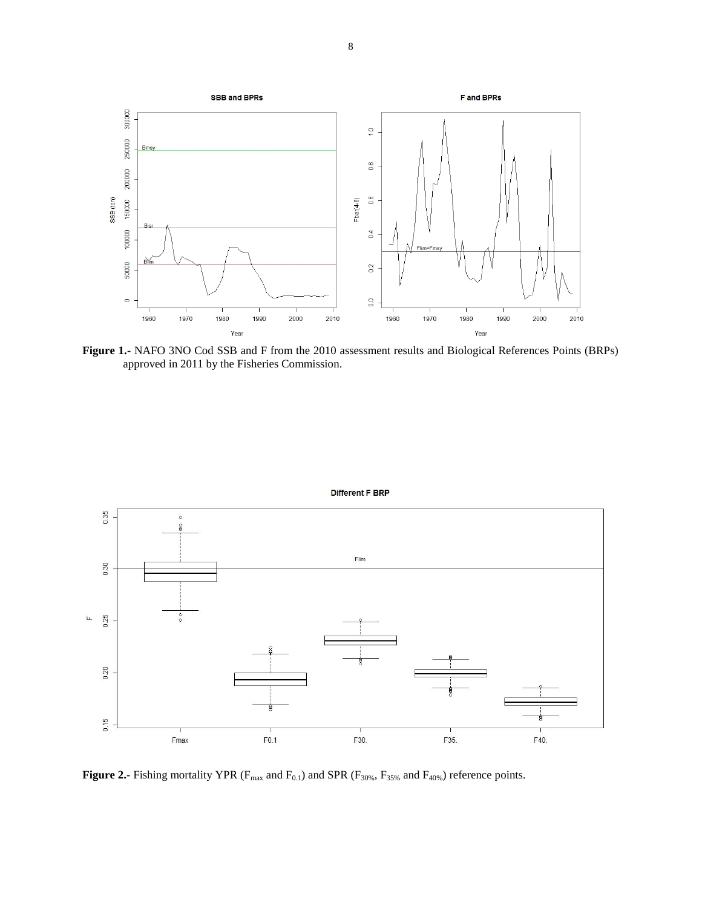

**Figure 1.-** NAFO 3NO Cod SSB and F from the 2010 assessment results and Biological References Points (BRPs) approved in 2011 by the Fisheries Commission.



Different F BRP

**Figure 2.-** Fishing mortality YPR ( $F_{max}$  and  $F_{0.1}$ ) and SPR ( $F_{30\%}$ ,  $F_{35\%}$  and  $F_{40\%}$ ) reference points.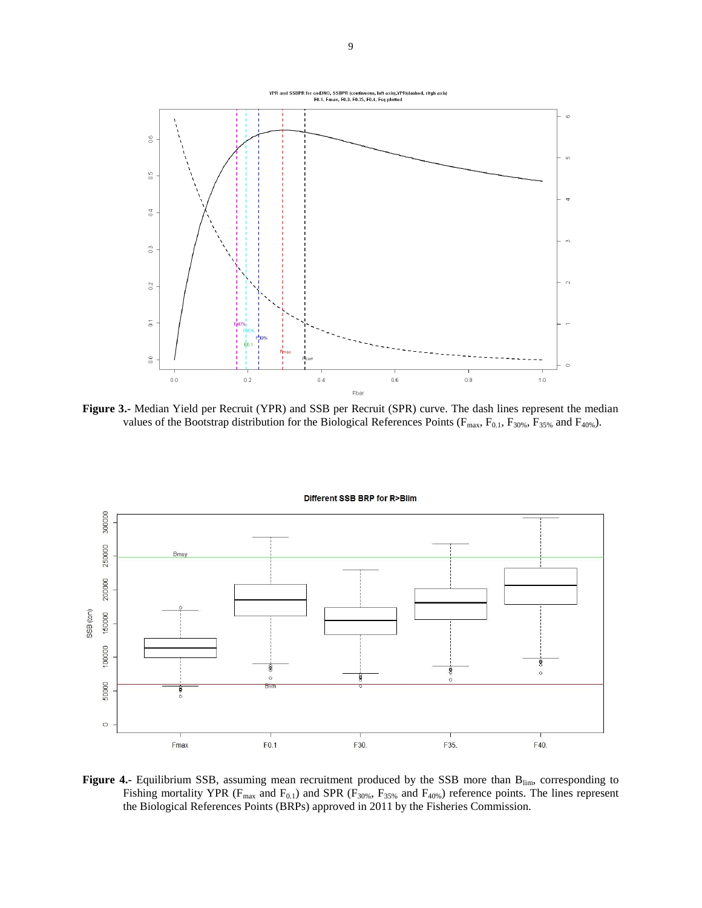

**Figure 3.-** Median Yield per Recruit (YPR) and SSB per Recruit (SPR) curve. The dash lines represent the median values of the Bootstrap distribution for the Biological References Points ( $F_{\text{max}}$ ,  $F_{0.1}$ ,  $F_{30\%}$ ,  $F_{35\%}$  and  $F_{40\%}$ ).



Figure 4.- Equilibrium SSB, assuming mean recruitment produced by the SSB more than B<sub>lim</sub>, corresponding to Fishing mortality YPR ( $F_{max}$  and  $F_{0.1}$ ) and SPR ( $F_{30\%}$ ,  $F_{35\%}$  and  $F_{40\%}$ ) reference points. The lines represent the Biological References Points (BRPs) approved in 2011 by the Fisheries Commission.